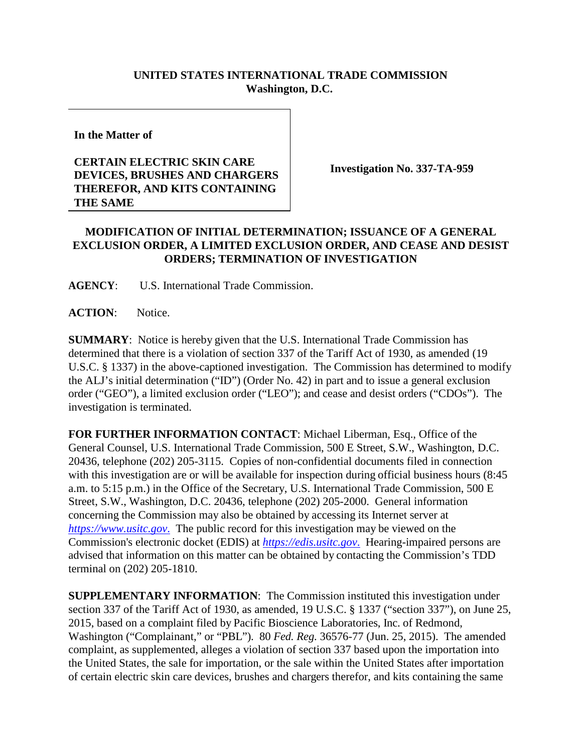## **UNITED STATES INTERNATIONAL TRADE COMMISSION Washington, D.C.**

**In the Matter of**

## **CERTAIN ELECTRIC SKIN CARE DEVICES, BRUSHES AND CHARGERS THEREFOR, AND KITS CONTAINING THE SAME**

**Investigation No. 337-TA-959**

## **MODIFICATION OF INITIAL DETERMINATION; ISSUANCE OF A GENERAL EXCLUSION ORDER, A LIMITED EXCLUSION ORDER, AND CEASE AND DESIST ORDERS; TERMINATION OF INVESTIGATION**

**AGENCY**: U.S. International Trade Commission.

**ACTION**: Notice.

**SUMMARY**: Notice is hereby given that the U.S. International Trade Commission has determined that there is a violation of section 337 of the Tariff Act of 1930, as amended (19 U.S.C. § 1337) in the above-captioned investigation. The Commission has determined to modify the ALJ's initial determination ("ID") (Order No. 42) in part and to issue a general exclusion order ("GEO"), a limited exclusion order ("LEO"); and cease and desist orders ("CDOs"). The investigation is terminated.

**FOR FURTHER INFORMATION CONTACT**: Michael Liberman, Esq., Office of the General Counsel, U.S. International Trade Commission, 500 E Street, S.W., Washington, D.C. 20436, telephone (202) 205-3115. Copies of non-confidential documents filed in connection with this investigation are or will be available for inspection during official business hours (8:45 a.m. to 5:15 p.m.) in the Office of the Secretary, U.S. International Trade Commission, 500 E Street, S.W., Washington, D.C. 20436, telephone (202) 205-2000. General information concerning the Commission may also be obtained by accessing its Internet server at *[https://www.usitc.gov](https://www.usitc.gov./)*. The public record for this investigation may be viewed on the Commission's electronic docket (EDIS) at *[https://edis.usitc.gov](https://edis.usitc.gov./)*. Hearing-impaired persons are advised that information on this matter can be obtained by contacting the Commission's TDD terminal on (202) 205-1810.

**SUPPLEMENTARY INFORMATION**: The Commission instituted this investigation under section 337 of the Tariff Act of 1930, as amended, 19 U.S.C. § 1337 ("section 337"), on June 25, 2015, based on a complaint filed by Pacific Bioscience Laboratories, Inc. of Redmond, Washington ("Complainant," or "PBL"). 80 *Fed. Reg.* 36576-77 (Jun. 25, 2015). The amended complaint, as supplemented, alleges a violation of section 337 based upon the importation into the United States, the sale for importation, or the sale within the United States after importation of certain electric skin care devices, brushes and chargers therefor, and kits containing the same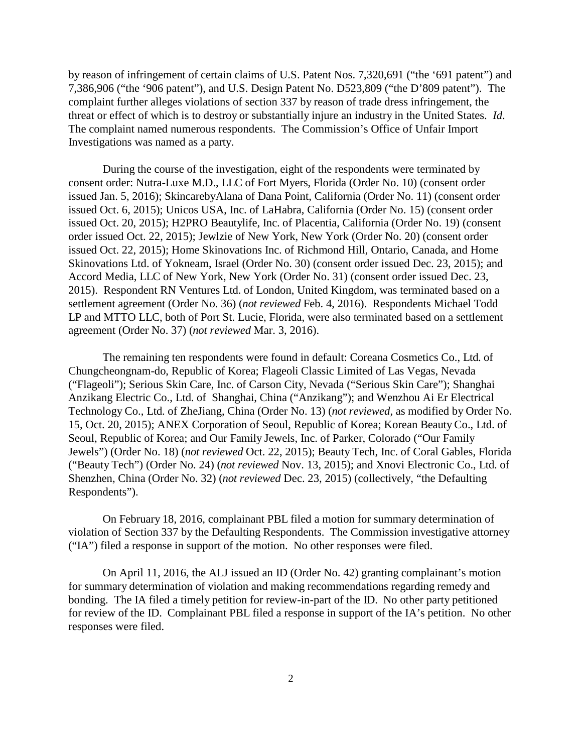by reason of infringement of certain claims of U.S. Patent Nos. 7,320,691 ("the '691 patent") and 7,386,906 ("the '906 patent"), and U.S. Design Patent No. D523,809 ("the D'809 patent"). The complaint further alleges violations of section 337 by reason of trade dress infringement, the threat or effect of which is to destroy or substantially injure an industry in the United States. *Id*. The complaint named numerous respondents. The Commission's Office of Unfair Import Investigations was named as a party.

During the course of the investigation, eight of the respondents were terminated by consent order: Nutra-Luxe M.D., LLC of Fort Myers, Florida (Order No. 10) (consent order issued Jan. 5, 2016); SkincarebyAlana of Dana Point, California (Order No. 11) (consent order issued Oct. 6, 2015); Unicos USA, Inc. of LaHabra, California (Order No. 15) (consent order issued Oct. 20, 2015); H2PRO Beautylife, Inc. of Placentia, California (Order No. 19) (consent order issued Oct. 22, 2015); Jewlzie of New York, New York (Order No. 20) (consent order issued Oct. 22, 2015); Home Skinovations Inc. of Richmond Hill, Ontario, Canada, and Home Skinovations Ltd. of Yokneam, Israel (Order No. 30) (consent order issued Dec. 23, 2015); and Accord Media, LLC of New York, New York (Order No. 31) (consent order issued Dec. 23, 2015). Respondent RN Ventures Ltd. of London, United Kingdom, was terminated based on a settlement agreement (Order No. 36) (*not reviewed* Feb. 4, 2016). Respondents Michael Todd LP and MTTO LLC, both of Port St. Lucie, Florida, were also terminated based on a settlement agreement (Order No. 37) (*not reviewed* Mar. 3, 2016).

The remaining ten respondents were found in default: Coreana Cosmetics Co., Ltd. of Chungcheongnam-do, Republic of Korea; Flageoli Classic Limited of Las Vegas, Nevada ("Flageoli"); Serious Skin Care, Inc. of Carson City, Nevada ("Serious Skin Care"); Shanghai Anzikang Electric Co., Ltd. of Shanghai, China ("Anzikang"); and Wenzhou Ai Er Electrical Technology Co., Ltd. of ZheJiang, China (Order No. 13) (*not reviewed*, as modified by Order No. 15, Oct. 20, 2015); ANEX Corporation of Seoul, Republic of Korea; Korean Beauty Co., Ltd. of Seoul, Republic of Korea; and Our Family Jewels, Inc. of Parker, Colorado ("Our Family Jewels") (Order No. 18) (*not reviewed* Oct. 22, 2015); Beauty Tech, Inc. of Coral Gables, Florida ("Beauty Tech") (Order No. 24) (*not reviewed* Nov. 13, 2015); and Xnovi Electronic Co., Ltd. of Shenzhen, China (Order No. 32) (*not reviewed* Dec. 23, 2015) (collectively, "the Defaulting Respondents").

On February 18, 2016, complainant PBL filed a motion for summary determination of violation of Section 337 by the Defaulting Respondents. The Commission investigative attorney ("IA") filed a response in support of the motion. No other responses were filed.

On April 11, 2016, the ALJ issued an ID (Order No. 42) granting complainant's motion for summary determination of violation and making recommendations regarding remedy and bonding. The IA filed a timely petition for review-in-part of the ID. No other party petitioned for review of the ID. Complainant PBL filed a response in support of the IA's petition. No other responses were filed.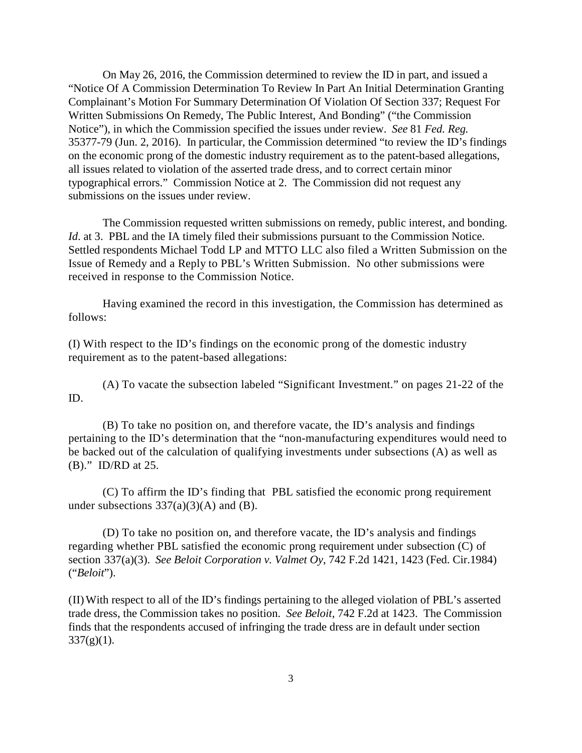On May 26, 2016, the Commission determined to review the ID in part, and issued a "Notice Of A Commission Determination To Review In Part An Initial Determination Granting Complainant's Motion For Summary Determination Of Violation Of Section 337; Request For Written Submissions On Remedy, The Public Interest, And Bonding" ("the Commission Notice"), in which the Commission specified the issues under review. *See* 81 *Fed. Reg.* 35377-79 (Jun. 2, 2016). In particular, the Commission determined "to review the ID's findings on the economic prong of the domestic industry requirement as to the patent-based allegations, all issues related to violation of the asserted trade dress, and to correct certain minor typographical errors." Commission Notice at 2. The Commission did not request any submissions on the issues under review.

The Commission requested written submissions on remedy, public interest, and bonding. *Id.* at 3. PBL and the IA timely filed their submissions pursuant to the Commission Notice. Settled respondents Michael Todd LP and MTTO LLC also filed a Written Submission on the Issue of Remedy and a Reply to PBL's Written Submission. No other submissions were received in response to the Commission Notice.

Having examined the record in this investigation, the Commission has determined as follows:

(I) With respect to the ID's findings on the economic prong of the domestic industry requirement as to the patent-based allegations:

ID. (A) To vacate the subsection labeled "Significant Investment." on pages 21-22 of the

(B) To take no position on, and therefore vacate, the ID's analysis and findings pertaining to the ID's determination that the "non-manufacturing expenditures would need to be backed out of the calculation of qualifying investments under subsections (A) as well as (B)." ID/RD at 25.

(C) To affirm the ID's finding that PBL satisfied the economic prong requirement under subsections  $337(a)(3)(A)$  and (B).

(D) To take no position on, and therefore vacate, the ID's analysis and findings regarding whether PBL satisfied the economic prong requirement under subsection (C) of section 337(a)(3). *See Beloit Corporation v. Valmet Oy*, 742 F.2d 1421, 1423 (Fed. Cir.1984) ("*Beloit*").

(II)With respect to all of the ID's findings pertaining to the alleged violation of PBL's asserted trade dress, the Commission takes no position. *See Beloit,* 742 F.2d at 1423. The Commission finds that the respondents accused of infringing the trade dress are in default under section  $337(g)(1)$ .